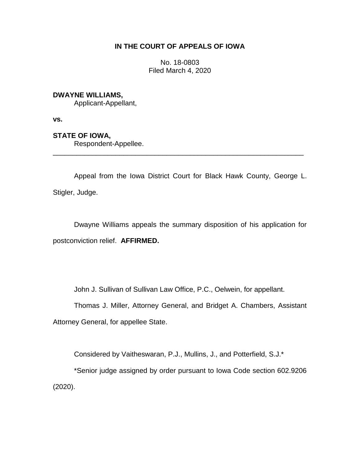# **IN THE COURT OF APPEALS OF IOWA**

No. 18-0803 Filed March 4, 2020

### **DWAYNE WILLIAMS,**

Applicant-Appellant,

**vs.**

## **STATE OF IOWA,**

Respondent-Appellee.

Appeal from the Iowa District Court for Black Hawk County, George L. Stigler, Judge.

\_\_\_\_\_\_\_\_\_\_\_\_\_\_\_\_\_\_\_\_\_\_\_\_\_\_\_\_\_\_\_\_\_\_\_\_\_\_\_\_\_\_\_\_\_\_\_\_\_\_\_\_\_\_\_\_\_\_\_\_\_\_\_\_

Dwayne Williams appeals the summary disposition of his application for postconviction relief. **AFFIRMED.** 

John J. Sullivan of Sullivan Law Office, P.C., Oelwein, for appellant.

Thomas J. Miller, Attorney General, and Bridget A. Chambers, Assistant Attorney General, for appellee State.

Considered by Vaitheswaran, P.J., Mullins, J., and Potterfield, S.J.\*

\*Senior judge assigned by order pursuant to Iowa Code section 602.9206 (2020).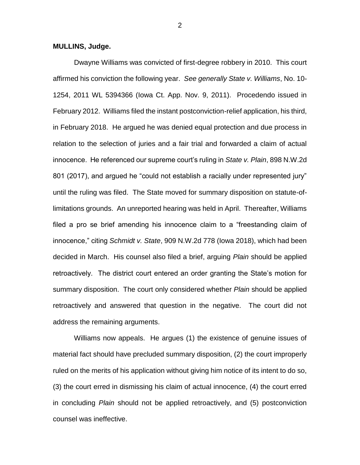#### **MULLINS, Judge.**

Dwayne Williams was convicted of first-degree robbery in 2010. This court affirmed his conviction the following year. *See generally State v. Williams*, No. 10- 1254, 2011 WL 5394366 (Iowa Ct. App. Nov. 9, 2011). Procedendo issued in February 2012. Williams filed the instant postconviction-relief application, his third, in February 2018. He argued he was denied equal protection and due process in relation to the selection of juries and a fair trial and forwarded a claim of actual innocence. He referenced our supreme court's ruling in *State v. Plain*, 898 N.W.2d 801 (2017), and argued he "could not establish a racially under represented jury" until the ruling was filed.The State moved for summary disposition on statute-oflimitations grounds. An unreported hearing was held in April. Thereafter, Williams filed a pro se brief amending his innocence claim to a "freestanding claim of innocence," citing *Schmidt v. State*, 909 N.W.2d 778 (Iowa 2018), which had been decided in March. His counsel also filed a brief, arguing *Plain* should be applied retroactively. The district court entered an order granting the State's motion for summary disposition. The court only considered whether *Plain* should be applied retroactively and answered that question in the negative. The court did not address the remaining arguments.

Williams now appeals. He argues (1) the existence of genuine issues of material fact should have precluded summary disposition, (2) the court improperly ruled on the merits of his application without giving him notice of its intent to do so, (3) the court erred in dismissing his claim of actual innocence, (4) the court erred in concluding *Plain* should not be applied retroactively, and (5) postconviction counsel was ineffective.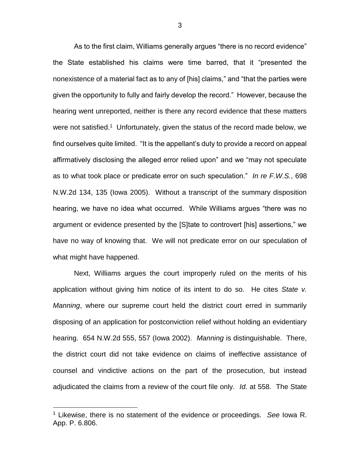As to the first claim, Williams generally argues "there is no record evidence" the State established his claims were time barred, that it "presented the nonexistence of a material fact as to any of [his] claims," and "that the parties were given the opportunity to fully and fairly develop the record." However, because the hearing went unreported, neither is there any record evidence that these matters were not satisfied.<sup>1</sup> Unfortunately, given the status of the record made below, we find ourselves quite limited. "It is the appellant's duty to provide a record on appeal affirmatively disclosing the alleged error relied upon" and we "may not speculate as to what took place or predicate error on such speculation." *In re F.W.S.*, 698 N.W.2d 134, 135 (Iowa 2005). Without a transcript of the summary disposition hearing, we have no idea what occurred. While Williams argues "there was no argument or evidence presented by the [S]tate to controvert [his] assertions," we have no way of knowing that. We will not predicate error on our speculation of what might have happened.

Next, Williams argues the court improperly ruled on the merits of his application without giving him notice of its intent to do so. He cites *State v. Manning*, where our supreme court held the district court erred in summarily disposing of an application for postconviction relief without holding an evidentiary hearing. 654 N.W.2d 555, 557 (Iowa 2002). *Manning* is distinguishable. There, the district court did not take evidence on claims of ineffective assistance of counsel and vindictive actions on the part of the prosecution, but instead adjudicated the claims from a review of the court file only. *Id.* at 558. The State

 $\overline{a}$ 

<sup>1</sup> Likewise, there is no statement of the evidence or proceedings. *See* Iowa R. App. P. 6.806.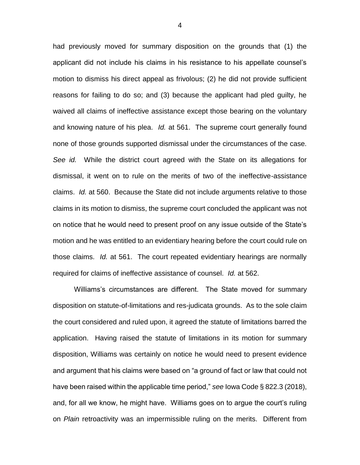had previously moved for summary disposition on the grounds that (1) the applicant did not include his claims in his resistance to his appellate counsel's motion to dismiss his direct appeal as frivolous; (2) he did not provide sufficient reasons for failing to do so; and (3) because the applicant had pled guilty, he waived all claims of ineffective assistance except those bearing on the voluntary and knowing nature of his plea. *Id.* at 561. The supreme court generally found none of those grounds supported dismissal under the circumstances of the case. *See id.* While the district court agreed with the State on its allegations for dismissal, it went on to rule on the merits of two of the ineffective-assistance claims. *Id.* at 560. Because the State did not include arguments relative to those claims in its motion to dismiss, the supreme court concluded the applicant was not on notice that he would need to present proof on any issue outside of the State's motion and he was entitled to an evidentiary hearing before the court could rule on those claims. *Id.* at 561. The court repeated evidentiary hearings are normally required for claims of ineffective assistance of counsel. *Id.* at 562.

Williams's circumstances are different. The State moved for summary disposition on statute-of-limitations and res-judicata grounds. As to the sole claim the court considered and ruled upon, it agreed the statute of limitations barred the application. Having raised the statute of limitations in its motion for summary disposition, Williams was certainly on notice he would need to present evidence and argument that his claims were based on "a ground of fact or law that could not have been raised within the applicable time period," *see* Iowa Code § 822.3 (2018), and, for all we know, he might have. Williams goes on to argue the court's ruling on *Plain* retroactivity was an impermissible ruling on the merits. Different from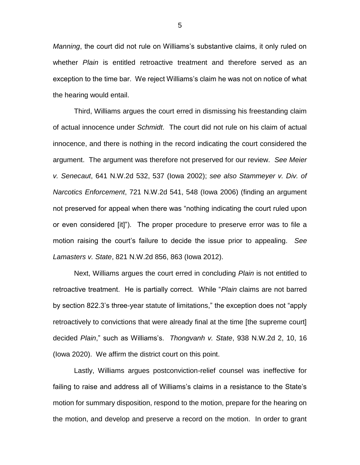*Manning*, the court did not rule on Williams's substantive claims, it only ruled on whether *Plain* is entitled retroactive treatment and therefore served as an exception to the time bar. We reject Williams's claim he was not on notice of what the hearing would entail.

Third, Williams argues the court erred in dismissing his freestanding claim of actual innocence under *Schmidt*. The court did not rule on his claim of actual innocence, and there is nothing in the record indicating the court considered the argument. The argument was therefore not preserved for our review. *See Meier v. Senecaut*, 641 N.W.2d 532, 537 (Iowa 2002); *see also Stammeyer v. Div. of Narcotics Enforcement*, 721 N.W.2d 541, 548 (Iowa 2006) (finding an argument not preserved for appeal when there was "nothing indicating the court ruled upon or even considered [it]"). The proper procedure to preserve error was to file a motion raising the court's failure to decide the issue prior to appealing. *See Lamasters v. State*, 821 N.W.2d 856, 863 (Iowa 2012).

Next, Williams argues the court erred in concluding *Plain* is not entitled to retroactive treatment. He is partially correct. While "*Plain* claims are not barred by section 822.3's three-year statute of limitations," the exception does not "apply retroactively to convictions that were already final at the time [the supreme court] decided *Plain*," such as Williams's. *Thongvanh v. State*, 938 N.W.2d 2, 10, 16 (Iowa 2020). We affirm the district court on this point.

Lastly, Williams argues postconviction-relief counsel was ineffective for failing to raise and address all of Williams's claims in a resistance to the State's motion for summary disposition, respond to the motion, prepare for the hearing on the motion, and develop and preserve a record on the motion. In order to grant